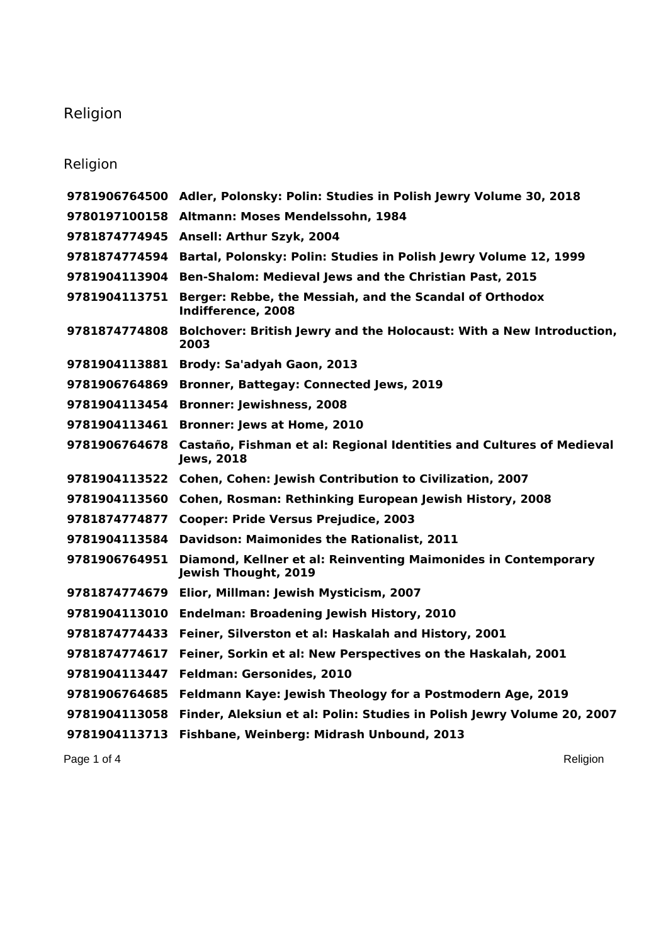## Religion

## Religion

|               | 9781906764500 Adler, Polonsky: Polin: Studies in Polish Jewry Volume 30, 2018             |
|---------------|-------------------------------------------------------------------------------------------|
|               | 9780197100158 Altmann: Moses Mendelssohn, 1984                                            |
| 9781874774945 | <b>Ansell: Arthur Szyk, 2004</b>                                                          |
| 9781874774594 | Bartal, Polonsky: Polin: Studies in Polish Jewry Volume 12, 1999                          |
| 9781904113904 | Ben-Shalom: Medieval Jews and the Christian Past, 2015                                    |
| 9781904113751 | Berger: Rebbe, the Messiah, and the Scandal of Orthodox<br>Indifference, 2008             |
| 9781874774808 | Bolchover: British Jewry and the Holocaust: With a New Introduction,<br>2003              |
| 9781904113881 | Brody: Sa'adyah Gaon, 2013                                                                |
| 9781906764869 | <b>Bronner, Battegay: Connected Jews, 2019</b>                                            |
| 9781904113454 | <b>Bronner: Jewishness, 2008</b>                                                          |
| 9781904113461 | <b>Bronner: Jews at Home, 2010</b>                                                        |
| 9781906764678 | Castaño, Fishman et al: Regional Identities and Cultures of Medieval<br><b>Jews, 2018</b> |
| 9781904113522 | Cohen, Cohen: Jewish Contribution to Civilization, 2007                                   |
| 9781904113560 | Cohen, Rosman: Rethinking European Jewish History, 2008                                   |
| 9781874774877 | <b>Cooper: Pride Versus Prejudice, 2003</b>                                               |
| 9781904113584 | Davidson: Maimonides the Rationalist, 2011                                                |
| 9781906764951 | Diamond, Kellner et al: Reinventing Maimonides in Contemporary<br>Jewish Thought, 2019    |
| 9781874774679 | Elior, Millman: Jewish Mysticism, 2007                                                    |
| 9781904113010 | <b>Endelman: Broadening Jewish History, 2010</b>                                          |
| 9781874774433 | Feiner, Silverston et al: Haskalah and History, 2001                                      |
| 9781874774617 | Feiner, Sorkin et al: New Perspectives on the Haskalah, 2001                              |
| 9781904113447 | <b>Feldman: Gersonides, 2010</b>                                                          |
| 9781906764685 | Feldmann Kaye: Jewish Theology for a Postmodern Age, 2019                                 |
| 9781904113058 | Finder, Aleksiun et al: Polin: Studies in Polish Jewry Volume 20, 2007                    |
| 9781904113713 | Fishbane, Weinberg: Midrash Unbound, 2013                                                 |
|               |                                                                                           |

Page 1 of 4 Religion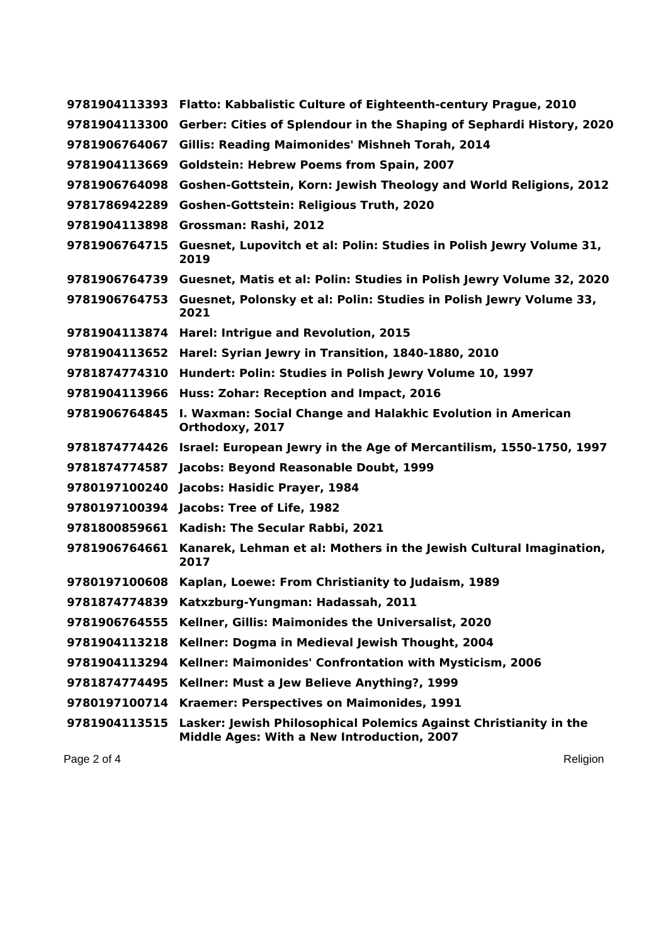| 9781904113393 | Flatto: Kabbalistic Culture of Eighteenth-century Prague, 2010                                                  |
|---------------|-----------------------------------------------------------------------------------------------------------------|
| 9781904113300 | Gerber: Cities of Splendour in the Shaping of Sephardi History, 2020                                            |
| 9781906764067 | <b>Gillis: Reading Maimonides' Mishneh Torah, 2014</b>                                                          |
| 9781904113669 | <b>Goldstein: Hebrew Poems from Spain, 2007</b>                                                                 |
| 9781906764098 | Goshen-Gottstein, Korn: Jewish Theology and World Religions, 2012                                               |
| 9781786942289 | Goshen-Gottstein: Religious Truth, 2020                                                                         |
| 9781904113898 | Grossman: Rashi, 2012                                                                                           |
| 9781906764715 | Guesnet, Lupovitch et al: Polin: Studies in Polish Jewry Volume 31,<br>2019                                     |
|               | 9781906764739 Guesnet, Matis et al: Polin: Studies in Polish Jewry Volume 32, 2020                              |
| 9781906764753 | Guesnet, Polonsky et al: Polin: Studies in Polish Jewry Volume 33,<br>2021                                      |
| 9781904113874 | Harel: Intrigue and Revolution, 2015                                                                            |
| 9781904113652 | Harel: Syrian Jewry in Transition, 1840-1880, 2010                                                              |
| 9781874774310 | Hundert: Polin: Studies in Polish Jewry Volume 10, 1997                                                         |
| 9781904113966 | Huss: Zohar: Reception and Impact, 2016                                                                         |
| 9781906764845 | I. Waxman: Social Change and Halakhic Evolution in American<br>Orthodoxy, 2017                                  |
| 9781874774426 | Israel: European Jewry in the Age of Mercantilism, 1550-1750, 1997                                              |
| 9781874774587 | Jacobs: Beyond Reasonable Doubt, 1999                                                                           |
| 9780197100240 | Jacobs: Hasidic Prayer, 1984                                                                                    |
| 9780197100394 | Jacobs: Tree of Life, 1982                                                                                      |
| 9781800859661 | Kadish: The Secular Rabbi, 2021                                                                                 |
| 9781906764661 | Kanarek, Lehman et al: Mothers in the Jewish Cultural Imagination,<br>2017                                      |
| 9780197100608 | Kaplan, Loewe: From Christianity to Judaism, 1989                                                               |
| 9781874774839 | Katxzburg-Yungman: Hadassah, 2011                                                                               |
| 9781906764555 | Kellner, Gillis: Maimonides the Universalist, 2020                                                              |
| 9781904113218 | Kellner: Dogma in Medieval Jewish Thought, 2004                                                                 |
| 9781904113294 | Kellner: Maimonides' Confrontation with Mysticism, 2006                                                         |
| 9781874774495 | Kellner: Must a Jew Believe Anything?, 1999                                                                     |
| 9780197100714 | Kraemer: Perspectives on Maimonides, 1991                                                                       |
| 9781904113515 | Lasker: Jewish Philosophical Polemics Against Christianity in the<br>Middle Ages: With a New Introduction, 2007 |

Page 2 of 4 Religion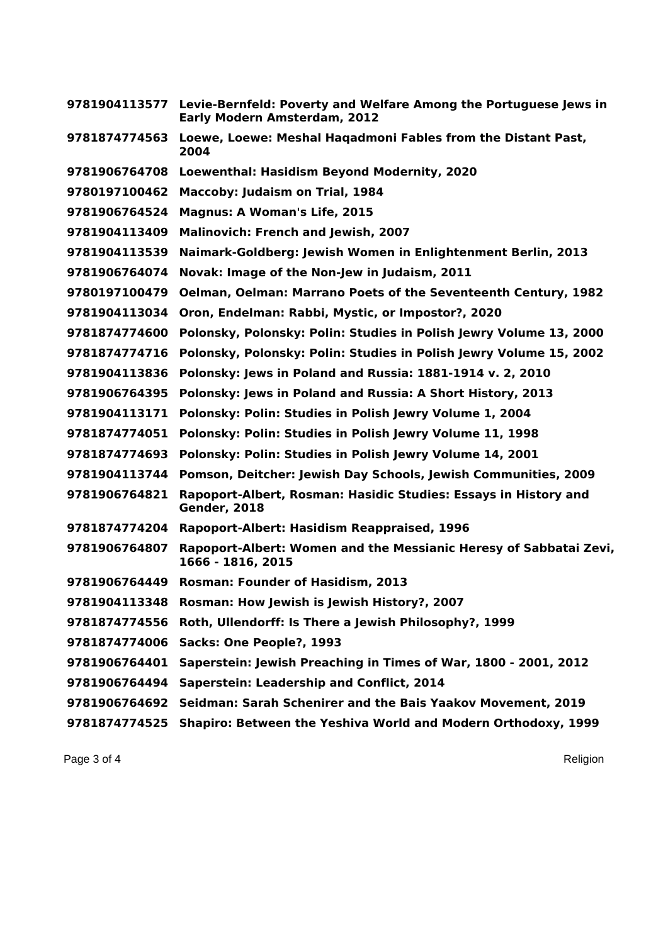| 9781904113577 | Levie-Bernfeld: Poverty and Welfare Among the Portuguese Jews in<br><b>Early Modern Amsterdam, 2012</b> |
|---------------|---------------------------------------------------------------------------------------------------------|
| 9781874774563 | Loewe, Loewe: Meshal Haqadmoni Fables from the Distant Past,<br>2004                                    |
| 9781906764708 | Loewenthal: Hasidism Beyond Modernity, 2020                                                             |
| 9780197100462 | Maccoby: Judaism on Trial, 1984                                                                         |
| 9781906764524 | <b>Magnus: A Woman's Life, 2015</b>                                                                     |
| 9781904113409 | <b>Malinovich: French and Jewish, 2007</b>                                                              |
| 9781904113539 | Naimark-Goldberg: Jewish Women in Enlightenment Berlin, 2013                                            |
| 9781906764074 | Novak: Image of the Non-Jew in Judaism, 2011                                                            |
| 9780197100479 | <b>Oelman, Oelman: Marrano Poets of the Seventeenth Century, 1982</b>                                   |
| 9781904113034 | Oron, Endelman: Rabbi, Mystic, or Impostor?, 2020                                                       |
| 9781874774600 | Polonsky, Polonsky: Polin: Studies in Polish Jewry Volume 13, 2000                                      |
| 9781874774716 | Polonsky, Polonsky: Polin: Studies in Polish Jewry Volume 15, 2002                                      |
| 9781904113836 | Polonsky: Jews in Poland and Russia: 1881-1914 v. 2, 2010                                               |
| 9781906764395 | Polonsky: Jews in Poland and Russia: A Short History, 2013                                              |
| 9781904113171 | Polonsky: Polin: Studies in Polish Jewry Volume 1, 2004                                                 |
| 9781874774051 | Polonsky: Polin: Studies in Polish Jewry Volume 11, 1998                                                |
| 9781874774693 | Polonsky: Polin: Studies in Polish Jewry Volume 14, 2001                                                |
| 9781904113744 | Pomson, Deitcher: Jewish Day Schools, Jewish Communities, 2009                                          |
| 9781906764821 | Rapoport-Albert, Rosman: Hasidic Studies: Essays in History and<br><b>Gender, 2018</b>                  |
| 9781874774204 | Rapoport-Albert: Hasidism Reappraised, 1996                                                             |
| 9781906764807 | Rapoport-Albert: Women and the Messianic Heresy of Sabbatai Zevi,<br>1666 - 1816, 2015                  |
| 9781906764449 | Rosman: Founder of Hasidism, 2013                                                                       |
|               | 9781904113348 Rosman: How Jewish is Jewish History?, 2007                                               |
| 9781874774556 | Roth, Ullendorff: Is There a Jewish Philosophy?, 1999                                                   |
| 9781874774006 | Sacks: One People?, 1993                                                                                |
| 9781906764401 | Saperstein: Jewish Preaching in Times of War, 1800 - 2001, 2012                                         |
| 9781906764494 | Saperstein: Leadership and Conflict, 2014                                                               |
| 9781906764692 | Seidman: Sarah Schenirer and the Bais Yaakov Movement, 2019                                             |
| 9781874774525 | Shapiro: Between the Yeshiva World and Modern Orthodoxy, 1999                                           |

Page 3 of 4 Religion